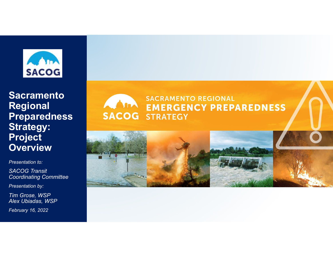

Regional **Preparedness** Strategy: Project **Overview** 

Presentation to:

SACOG Transit Coordinating Committee

Presentation by:

Tim Grose, WSP Alex Ubiadas, WSP

February 16, 2022

# Sacramento<br>
Regional EMERGENCY PREPAREDNESS<br>
Preparedness SACOG STRATEGY **SACRAMENTO REGIONAL**



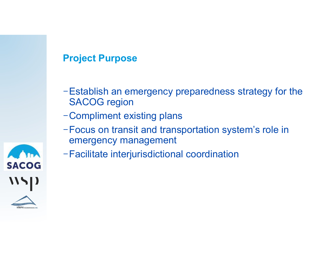### Project Purpose

- −Establish an emergency preparedness strategy for the SACOG region
- −Compliment existing plans
- −Focus on transit and transportation system's role in emergency management
- −Facilitate interjurisdictional coordination

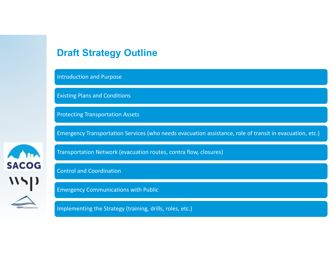#### Draft Strategy Outline

Introduction and Purpose

Existing Plans and Conditions

Protecting Transportation Assets

Emergency Transportation Services (who needs evacuation assistance, role of transit in evacuation, etc.)

AM **SACOG \\\|)** 

Transportation Network (evacuation routes, contra flow, closures)

Control and Coordination

Emergency Communications with Public

Implementing the Strategy (training, drills, roles, etc.)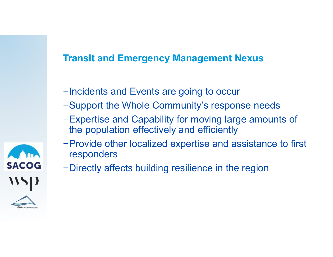# Transit and Emergency Management Nexus

- −Incidents and Events are going to occur
- −Support the Whole Community's response needs
- −Expertise and Capability for moving large amounts of the population effectively and efficiently
- −Provide other localized expertise and assistance to first responders
- −Directly affects building resilience in the region

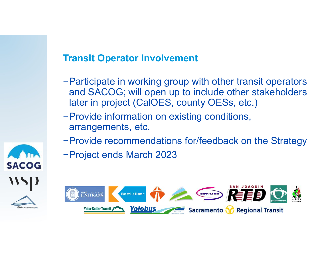# Transit Operator Involvement

- −Participate in working group with other transit operators and SACOG; will open up to include other stakeholders later in project (CalOES, county OESs, etc.)
- −Provide information on existing conditions, arrangements, etc.
- −Provide recommendations for/feedback on the Strategy
- −Project ends March 2023



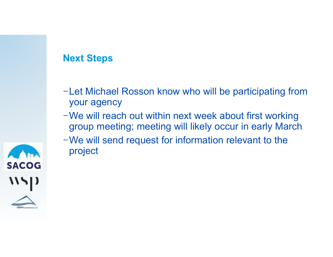### Next Steps

- −Let Michael Rosson know who will be participating from your agency
- −We will reach out within next week about first working group meeting; meeting will likely occur in early March
- −We will send request for information relevant to the project